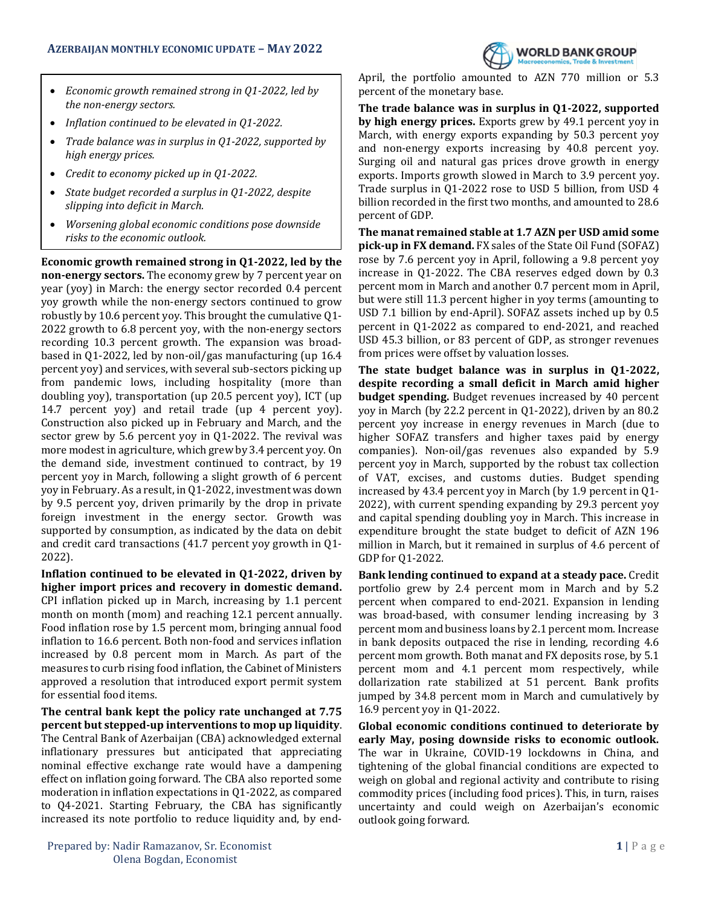

- *Economic growth remained strong in Q1-2022, led by the non-energy sectors.*
- *Inflation continued to be elevated in Q1-2022.*
- *Trade balance was in surplus in Q1-2022, supported by high energy prices.*
- *Credit to economy picked up in Q1-2022.*
- *State budget recorded a surplus in Q1-2022, despite slipping into deficit in March.*
- *Worsening global economic conditions pose downside risks to the economic outlook.*

**Economic growth remained strong in Q1-2022, led by the non-energy sectors.** The economy grew by 7 percent year on year (yoy) in March: the energy sector recorded 0.4 percent yoy growth while the non-energy sectors continued to grow robustly by 10.6 percent yoy. This brought the cumulative Q1- 2022 growth to 6.8 percent yoy, with the non-energy sectors recording 10.3 percent growth. The expansion was broadbased in Q1-2022, led by non-oil/gas manufacturing (up 16.4 percent yoy) and services, with several sub-sectors picking up from pandemic lows, including hospitality (more than doubling yoy), transportation (up 20.5 percent yoy), ICT (up 14.7 percent yoy) and retail trade (up 4 percent yoy). Construction also picked up in February and March, and the sector grew by 5.6 percent yoy in Q1-2022. The revival was more modest in agriculture, which grew by 3.4 percent yoy. On the demand side, investment continued to contract, by 19 percent yoy in March, following a slight growth of 6 percent yoy in February. As a result, in Q1-2022, investment was down by 9.5 percent yoy, driven primarily by the drop in private foreign investment in the energy sector. Growth was supported by consumption, as indicated by the data on debit and credit card transactions (41.7 percent yoy growth in Q1- 2022).

**Inflation continued to be elevated in Q1-2022, driven by higher import prices and recovery in domestic demand.** CPI inflation picked up in March, increasing by 1.1 percent month on month (mom) and reaching 12.1 percent annually. Food inflation rose by 1.5 percent mom, bringing annual food inflation to 16.6 percent. Both non-food and services inflation increased by 0.8 percent mom in March. As part of the measures to curb rising food inflation, the Cabinet of Ministers approved a resolution that introduced export permit system for essential food items.

**The central bank kept the policy rate unchanged at 7.75 percent but stepped-up interventions to mop up liquidity**. The Central Bank of Azerbaijan (CBA) acknowledged external inflationary pressures but anticipated that appreciating nominal effective exchange rate would have a dampening effect on inflation going forward. The CBA also reported some moderation in inflation expectations in Q1-2022, as compared to Q4-2021. Starting February, the CBA has significantly increased its note portfolio to reduce liquidity and, by end-

**Prepared by: Nadir Ramazanov, Sr. Economist 1** | P a g e Olena Bogdan, Economist

April, the portfolio amounted to AZN 770 million or 5.3 percent of the monetary base.

**The trade balance was in surplus in Q1-2022, supported by high energy prices.** Exports grew by 49.1 percent yoy in March, with energy exports expanding by 50.3 percent yoy and non-energy exports increasing by 40.8 percent yoy. Surging oil and natural gas prices drove growth in energy exports. Imports growth slowed in March to 3.9 percent yoy. Trade surplus in Q1-2022 rose to USD 5 billion, from USD 4 billion recorded in the first two months, and amounted to 28.6 percent of GDP.

**The manat remained stable at 1.7 AZN per USD amid some pick-up in FX demand.** FX sales of the State Oil Fund (SOFAZ) rose by 7.6 percent yoy in April, following a 9.8 percent yoy increase in Q1-2022. The CBA reserves edged down by 0.3 percent mom in March and another 0.7 percent mom in April, but were still 11.3 percent higher in yoy terms (amounting to USD 7.1 billion by end-April). SOFAZ assets inched up by 0.5 percent in Q1-2022 as compared to end-2021, and reached USD 45.3 billion, or 83 percent of GDP, as stronger revenues from prices were offset by valuation losses.

**The state budget balance was in surplus in Q1-2022, despite recording a small deficit in March amid higher budget spending.** Budget revenues increased by 40 percent yoy in March (by 22.2 percent in Q1-2022), driven by an 80.2 percent yoy increase in energy revenues in March (due to higher SOFAZ transfers and higher taxes paid by energy companies). Non-oil/gas revenues also expanded by 5.9 percent yoy in March, supported by the robust tax collection of VAT, excises, and customs duties. Budget spending increased by 43.4 percent yoy in March (by 1.9 percent in Q1- 2022), with current spending expanding by 29.3 percent yoy and capital spending doubling yoy in March. This increase in expenditure brought the state budget to deficit of AZN 196 million in March, but it remained in surplus of 4.6 percent of GDP for Q1-2022.

**Bank lending continued to expand at a steady pace.** Credit portfolio grew by 2.4 percent mom in March and by 5.2 percent when compared to end-2021. Expansion in lending was broad-based, with consumer lending increasing by 3 percent mom and business loans by 2.1 percent mom. Increase in bank deposits outpaced the rise in lending, recording 4.6 percent mom growth. Both manat and FX deposits rose, by 5.1 percent mom and 4.1 percent mom respectively, while dollarization rate stabilized at 51 percent. Bank profits jumped by 34.8 percent mom in March and cumulatively by 16.9 percent yoy in Q1-2022.

**Global economic conditions continued to deteriorate by early May, posing downside risks to economic outlook.** The war in Ukraine, COVID-19 lockdowns in China, and tightening of the global financial conditions are expected to weigh on global and regional activity and contribute to rising commodity prices (including food prices). This, in turn, raises uncertainty and could weigh on Azerbaijan's economic outlook going forward.